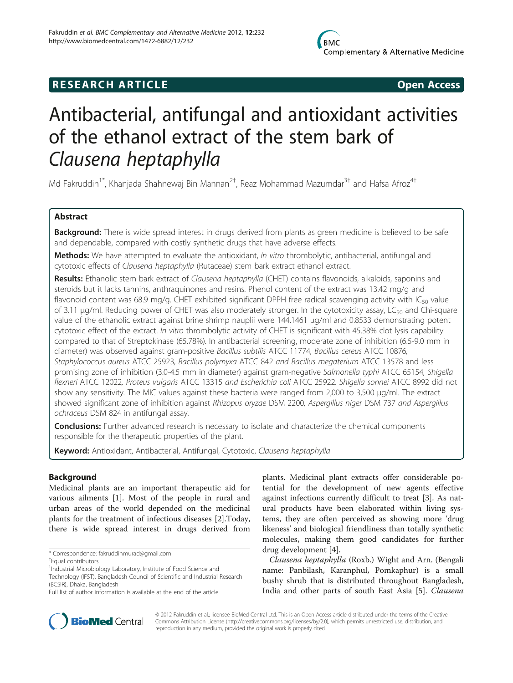## **RESEARCH ARTICLE Example 2018 12:00 Open Access**

# Antibacterial, antifungal and antioxidant activities of the ethanol extract of the stem bark of Clausena heptaphylla

Md Fakruddin<sup>1\*</sup>, Khanjada Shahnewaj Bin Mannan<sup>2†</sup>, Reaz Mohammad Mazumdar<sup>3†</sup> and Hafsa Afroz<sup>4†</sup>

## Abstract

Background: There is wide spread interest in drugs derived from plants as green medicine is believed to be safe and dependable, compared with costly synthetic drugs that have adverse effects.

Methods: We have attempted to evaluate the antioxidant, In vitro thrombolytic, antibacterial, antifungal and cytotoxic effects of Clausena heptaphylla (Rutaceae) stem bark extract ethanol extract.

Results: Ethanolic stem bark extract of Clausena heptaphylla (CHET) contains flavonoids, alkaloids, saponins and steroids but it lacks tannins, anthraquinones and resins. Phenol content of the extract was 13.42 mg/g and flavonoid content was 68.9 mg/g. CHET exhibited significant DPPH free radical scavenging activity with  $IC_{50}$  value of 3.11 μg/ml. Reducing power of CHET was also moderately stronger. In the cytotoxicity assay, LC<sub>50</sub> and Chi-square value of the ethanolic extract against brine shrimp nauplii were 144.1461 μg/ml and 0.8533 demonstrating potent cytotoxic effect of the extract. In vitro thrombolytic activity of CHET is significant with 45.38% clot lysis capability compared to that of Streptokinase (65.78%). In antibacterial screening, moderate zone of inhibition (6.5-9.0 mm in diameter) was observed against gram-positive Bacillus subtilis ATCC 11774, Bacillus cereus ATCC 10876, Staphylococcus aureus ATCC 25923, Bacillus polymyxa ATCC 842 and Bacillus megaterium ATCC 13578 and less promising zone of inhibition (3.0-4.5 mm in diameter) against gram-negative Salmonella typhi ATCC 65154, Shigella flexneri ATCC 12022, Proteus vulgaris ATCC 13315 and Escherichia coli ATCC 25922. Shigella sonnei ATCC 8992 did not show any sensitivity. The MIC values against these bacteria were ranged from 2,000 to 3,500 μg/ml. The extract showed significant zone of inhibition against Rhizopus oryzae DSM 2200, Aspergillus niger DSM 737 and Aspergillus ochraceus DSM 824 in antifungal assay.

**Conclusions:** Further advanced research is necessary to isolate and characterize the chemical components responsible for the therapeutic properties of the plant.

Keyword: Antioxidant, Antibacterial, Antifungal, Cytotoxic, Clausena heptaphylla

## Background

Medicinal plants are an important therapeutic aid for various ailments [[1\]](#page-7-0). Most of the people in rural and urban areas of the world depended on the medicinal plants for the treatment of infectious diseases [[2](#page-7-0)].Today, there is wide spread interest in drugs derived from

plants. Medicinal plant extracts offer considerable potential for the development of new agents effective against infections currently difficult to treat [[3\]](#page-7-0). As natural products have been elaborated within living systems, they are often perceived as showing more 'drug likeness' and biological friendliness than totally synthetic molecules, making them good candidates for further drug development [\[4](#page-7-0)].

Clausena heptaphylla (Roxb.) Wight and Arn. (Bengali name: Panbilash, Karanphul, Pomkaphur) is a small bushy shrub that is distributed throughout Bangladesh, India and other parts of south East Asia [[5\]](#page-7-0). Clausena



© 2012 Fakruddin et al.; licensee BioMed Central Ltd. This is an Open Access article distributed under the terms of the Creative Commons Attribution License [\(http://creativecommons.org/licenses/by/2.0\)](http://creativecommons.org/licenses/by/2.0), which permits unrestricted use, distribution, and reproduction in any medium, provided the original work is properly cited.

<sup>\*</sup> Correspondence: [fakruddinmurad@gmail.com](mailto:fakruddinmurad@gmail.com) †

Equal contributors

<sup>&</sup>lt;sup>1</sup>Industrial Microbiology Laboratory, Institute of Food Science and Technology (IFST). Bangladesh Council of Scientific and Industrial Research (BCSIR), Dhaka, Bangladesh

Full list of author information is available at the end of the article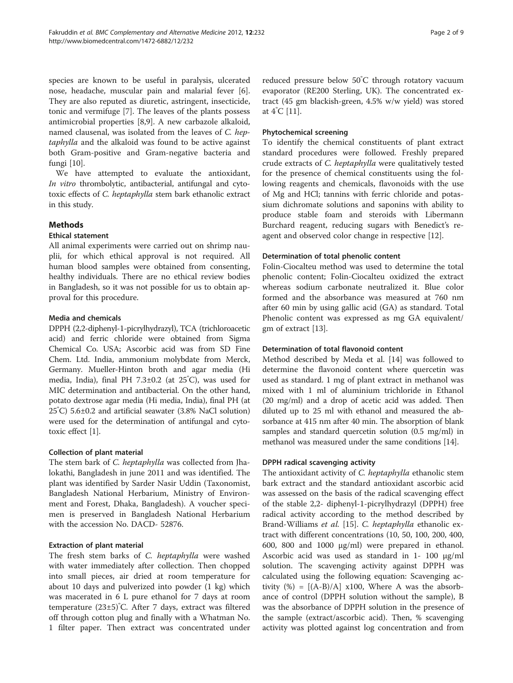species are known to be useful in paralysis, ulcerated nose, headache, muscular pain and malarial fever [\[6](#page-7-0)]. They are also reputed as diuretic, astringent, insecticide, tonic and vermifuge [[7\]](#page-7-0). The leaves of the plants possess antimicrobial properties [[8,9\]](#page-7-0). A new carbazole alkaloid, named clausenal, was isolated from the leaves of C. heptaphylla and the alkaloid was found to be active against both Gram-positive and Gram-negative bacteria and fungi [[10](#page-7-0)].

We have attempted to evaluate the antioxidant, In vitro thrombolytic, antibacterial, antifungal and cytotoxic effects of C. heptaphylla stem bark ethanolic extract in this study.

## Methods

## Ethical statement

All animal experiments were carried out on shrimp nauplii, for which ethical approval is not required. All human blood samples were obtained from consenting, healthy individuals. There are no ethical review bodies in Bangladesh, so it was not possible for us to obtain approval for this procedure.

#### Media and chemicals

DPPH (2,2-diphenyl-1-picrylhydrazyl), TCA (trichloroacetic acid) and ferric chloride were obtained from Sigma Chemical Co. USA; Ascorbic acid was from SD Fine Chem. Ltd. India, ammonium molybdate from Merck, Germany. Mueller-Hinton broth and agar media (Hi media, India), final PH 7.3±0.2 (at 25º C), was used for MIC determination and antibacterial. On the other hand, potato dextrose agar media (Hi media, India), final PH (at 25º C) 5.6±0.2 and artificial seawater (3.8% NaCl solution) were used for the determination of antifungal and cytotoxic effect [[1\]](#page-7-0).

#### Collection of plant material

The stem bark of C. heptaphylla was collected from Jhalokathi, Bangladesh in june 2011 and was identified. The plant was identified by Sarder Nasir Uddin (Taxonomist, Bangladesh National Herbarium, Ministry of Environment and Forest, Dhaka, Bangladesh). A voucher specimen is preserved in Bangladesh National Herbarium with the accession No. DACD- 52876.

#### Extraction of plant material

The fresh stem barks of C. heptaphylla were washed with water immediately after collection. Then chopped into small pieces, air dried at room temperature for about 10 days and pulverized into powder (1 kg) which was macerated in 6 L pure ethanol for 7 days at room temperature (23±5)<sup>º</sup> C. After 7 days, extract was filtered off through cotton plug and finally with a Whatman No. 1 filter paper. Then extract was concentrated under reduced pressure below 50<sup>º</sup> C through rotatory vacuum evaporator (RE200 Sterling, UK). The concentrated extract (45 gm blackish-green, 4.5% w/w yield) was stored at 4<sup>º</sup> C [\[11](#page-7-0)].

#### Phytochemical screening

To identify the chemical constituents of plant extract standard procedures were followed. Freshly prepared crude extracts of C. heptaphylla were qualitatively tested for the presence of chemical constituents using the following reagents and chemicals, flavonoids with the use of Mg and HCl; tannins with ferric chloride and potassium dichromate solutions and saponins with ability to produce stable foam and steroids with Libermann Burchard reagent, reducing sugars with Benedict's reagent and observed color change in respective [\[12](#page-7-0)].

## Determination of total phenolic content

Folin-Ciocalteu method was used to determine the total phenolic content; Folin-Ciocalteu oxidized the extract whereas sodium carbonate neutralized it. Blue color formed and the absorbance was measured at 760 nm after 60 min by using gallic acid (GA) as standard. Total Phenolic content was expressed as mg GA equivalent/ gm of extract [[13](#page-7-0)].

## Determination of total flavonoid content

Method described by Meda et al. [\[14](#page-7-0)] was followed to determine the flavonoid content where quercetin was used as standard. 1 mg of plant extract in methanol was mixed with 1 ml of aluminium trichloride in Ethanol (20 mg/ml) and a drop of acetic acid was added. Then diluted up to 25 ml with ethanol and measured the absorbance at 415 nm after 40 min. The absorption of blank samples and standard quercetin solution (0.5 mg/ml) in methanol was measured under the same conditions [\[14\]](#page-7-0).

## DPPH radical scavenging activity

The antioxidant activity of *C. heptaphylla* ethanolic stem bark extract and the standard antioxidant ascorbic acid was assessed on the basis of the radical scavenging effect of the stable 2,2- diphenyl-1-picrylhydrazyl (DPPH) free radical activity according to the method described by Brand-Williams et al. [\[15](#page-7-0)]. C. heptaphylla ethanolic extract with different concentrations (10, 50, 100, 200, 400, 600, 800 and 1000 μg/ml) were prepared in ethanol. Ascorbic acid was used as standard in 1- 100 μg/ml solution. The scavenging activity against DPPH was calculated using the following equation: Scavenging activity  $(\%) = [(\text{A-B})/\text{A}] \times 100$ , Where A was the absorbance of control (DPPH solution without the sample), B was the absorbance of DPPH solution in the presence of the sample (extract/ascorbic acid). Then, % scavenging activity was plotted against log concentration and from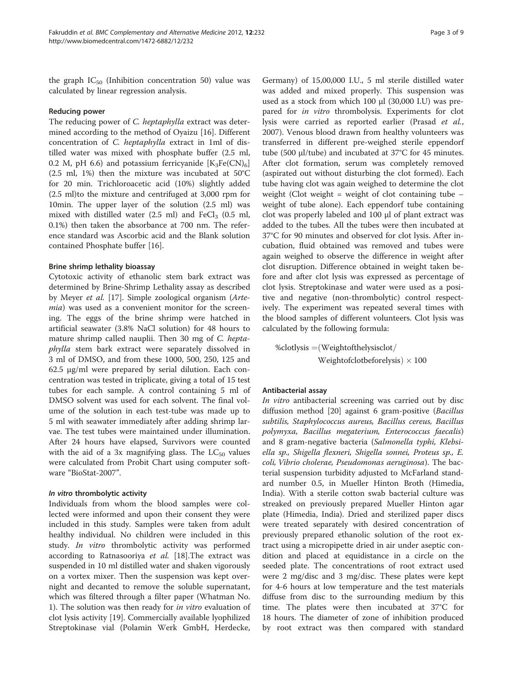the graph  $IC_{50}$  (Inhibition concentration 50) value was calculated by linear regression analysis.

## Reducing power

The reducing power of *C. heptaphylla* extract was determined according to the method of Oyaizu [[16\]](#page-7-0). Different concentration of C. heptaphylla extract in 1ml of distilled water was mixed with phosphate buffer (2.5 ml, 0.2 M, pH 6.6) and potassium ferricyanide  $[K_3Fe(CN)_6]$ (2.5 ml, 1%) then the mixture was incubated at 50°C for 20 min. Trichloroacetic acid (10%) slightly added (2.5 ml)to the mixture and centrifuged at 3,000 rpm for 10min. The upper layer of the solution (2.5 ml) was mixed with distilled water  $(2.5 \text{ ml})$  and  $\text{FeCl}_3$   $(0.5 \text{ ml})$ , 0.1%) then taken the absorbance at 700 nm. The reference standard was Ascorbic acid and the Blank solution contained Phosphate buffer [\[16](#page-7-0)].

## Brine shrimp lethality bioassay

Cytotoxic activity of ethanolic stem bark extract was determined by Brine-Shrimp Lethality assay as described by Meyer et al. [[17\]](#page-7-0). Simple zoological organism (Artemia) was used as a convenient monitor for the screening. The eggs of the brine shrimp were hatched in artificial seawater (3.8% NaCl solution) for 48 hours to mature shrimp called nauplii. Then 30 mg of C. heptaphylla stem bark extract were separately dissolved in 3 ml of DMSO, and from these 1000, 500, 250, 125 and 62.5 μg/ml were prepared by serial dilution. Each concentration was tested in triplicate, giving a total of 15 test tubes for each sample. A control containing 5 ml of DMSO solvent was used for each solvent. The final volume of the solution in each test-tube was made up to 5 ml with seawater immediately after adding shrimp larvae. The test tubes were maintained under illumination. After 24 hours have elapsed, Survivors were counted with the aid of a 3x magnifying glass. The  $LC_{50}$  values were calculated from Probit Chart using computer software "BioStat-2007".

#### In vitro thrombolytic activity

Individuals from whom the blood samples were collected were informed and upon their consent they were included in this study. Samples were taken from adult healthy individual. No children were included in this study. In vitro thrombolytic activity was performed according to Ratnasooriya et al. [\[18](#page-7-0)].The extract was suspended in 10 ml distilled water and shaken vigorously on a vortex mixer. Then the suspension was kept overnight and decanted to remove the soluble supernatant, which was filtered through a filter paper (Whatman No. 1). The solution was then ready for in vitro evaluation of clot lysis activity [\[19](#page-7-0)]. Commercially available lyophilized Streptokinase vial (Polamin Werk GmbH, Herdecke,

Germany) of 15,00,000 I.U., 5 ml sterile distilled water was added and mixed properly. This suspension was used as a stock from which 100 μl (30,000 I.U) was prepared for *in vitro* thrombolysis. Experiments for clot lysis were carried as reported earlier (Prasad et al., 2007). Venous blood drawn from healthy volunteers was transferred in different pre-weighed sterile eppendorf tube (500 μl/tube) and incubated at 37°C for 45 minutes. After clot formation, serum was completely removed (aspirated out without disturbing the clot formed). Each tube having clot was again weighed to determine the clot weight (Clot weight = weight of clot containing tube  $$ weight of tube alone). Each eppendorf tube containing clot was properly labeled and 100 μl of plant extract was added to the tubes. All the tubes were then incubated at 37°C for 90 minutes and observed for clot lysis. After incubation, fluid obtained was removed and tubes were again weighed to observe the difference in weight after clot disruption. Difference obtained in weight taken before and after clot lysis was expressed as percentage of clot lysis. Streptokinase and water were used as a positive and negative (non-thrombolytic) control respectively. The experiment was repeated several times with the blood samples of different volunteers. Clot lysis was calculated by the following formula:

% $clotlysis =$ (Weightofthelysisclot/ Weightofclotbeforelysis)  $\times$  100

## Antibacterial assay

In vitro antibacterial screening was carried out by disc diffusion method [[20](#page-7-0)] against 6 gram-positive (Bacillus subtilis, Staphylococcus aureus, Bacillus cereus, Bacillus polymyxa, Bacillus megaterium, Enterococcus faecalis) and 8 gram-negative bacteria (Salmonella typhi, Klebsiella sp., Shigella flexneri, Shigella sonnei, Proteus sp., E. coli, Vibrio cholerae, Pseudomonas aeruginosa). The bacterial suspension turbidity adjusted to McFarland standard number 0.5, in Mueller Hinton Broth (Himedia, India). With a sterile cotton swab bacterial culture was streaked on previously prepared Mueller Hinton agar plate (Himedia, India). Dried and sterilized paper discs were treated separately with desired concentration of previously prepared ethanolic solution of the root extract using a micropipette dried in air under aseptic condition and placed at equidistance in a circle on the seeded plate. The concentrations of root extract used were 2 mg/disc and 3 mg/disc. These plates were kept for 4-6 hours at low temperature and the test materials diffuse from disc to the surrounding medium by this time. The plates were then incubated at 37°C for 18 hours. The diameter of zone of inhibition produced by root extract was then compared with standard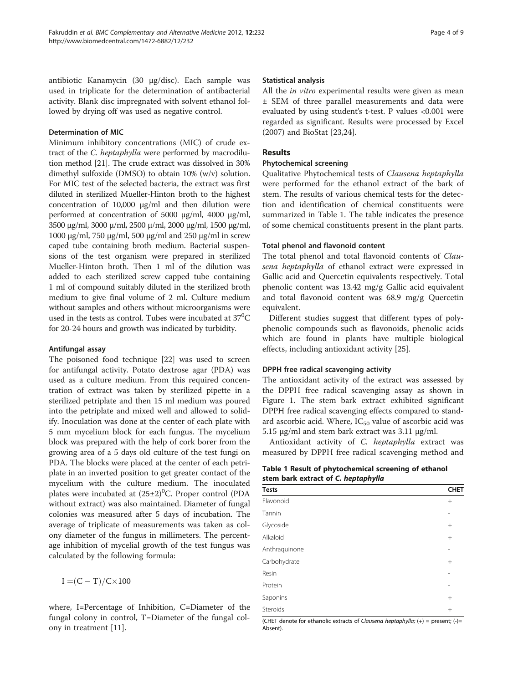antibiotic Kanamycin (30 μg/disc). Each sample was used in triplicate for the determination of antibacterial activity. Blank disc impregnated with solvent ethanol followed by drying off was used as negative control.

## Determination of MIC

Minimum inhibitory concentrations (MIC) of crude extract of the C. heptaphylla were performed by macrodilution method [[21](#page-7-0)]. The crude extract was dissolved in 30% dimethyl sulfoxide (DMSO) to obtain 10% (w/v) solution. For MIC test of the selected bacteria, the extract was first diluted in sterilized Mueller-Hinton broth to the highest concentration of 10,000 μg/ml and then dilution were performed at concentration of 5000 μg/ml, 4000 μg/ml, 3500 μg/ml, 3000 μ/ml, 2500 μ/ml, 2000 μg/ml, 1500 μg/ml, 1000 μg/ml, 750 μg/ml, 500 μg/ml and 250 μg/ml in screw caped tube containing broth medium. Bacterial suspensions of the test organism were prepared in sterilized Mueller-Hinton broth. Then 1 ml of the dilution was added to each sterilized screw capped tube containing 1 ml of compound suitably diluted in the sterilized broth medium to give final volume of 2 ml. Culture medium without samples and others without microorganisms were used in the tests as control. Tubes were incubated at  $37^{\rm o}{\rm C}$ for 20-24 hours and growth was indicated by turbidity.

## Antifungal assay

The poisoned food technique [\[22](#page-7-0)] was used to screen for antifungal activity. Potato dextrose agar (PDA) was used as a culture medium. From this required concentration of extract was taken by sterilized pipette in a sterilized petriplate and then 15 ml medium was poured into the petriplate and mixed well and allowed to solidify. Inoculation was done at the center of each plate with 5 mm mycelium block for each fungus. The mycelium block was prepared with the help of cork borer from the growing area of a 5 days old culture of the test fungi on PDA. The blocks were placed at the center of each petriplate in an inverted position to get greater contact of the mycelium with the culture medium. The inoculated plates were incubated at (25±2)<sup>0</sup>C. Proper control (PDA without extract) was also maintained. Diameter of fungal colonies was measured after 5 days of incubation. The average of triplicate of measurements was taken as colony diameter of the fungus in millimeters. The percentage inhibition of mycelial growth of the test fungus was calculated by the following formula:

 $I = (C - T)/C \times 100$ 

where, I=Percentage of Inhibition, C=Diameter of the fungal colony in control, T=Diameter of the fungal colony in treatment [[11](#page-7-0)].

## Statistical analysis

All the *in vitro* experimental results were given as mean ± SEM of three parallel measurements and data were evaluated by using student's t-test. P values <0.001 were regarded as significant. Results were processed by Excel (2007) and BioStat [[23,24\]](#page-7-0).

## Results

## Phytochemical screening

Qualitative Phytochemical tests of Clausena heptaphylla were performed for the ethanol extract of the bark of stem. The results of various chemical tests for the detection and identification of chemical constituents were summarized in Table 1. The table indicates the presence of some chemical constituents present in the plant parts.

## Total phenol and flavonoid content

The total phenol and total flavonoid contents of Clausena heptaphylla of ethanol extract were expressed in Gallic acid and Quercetin equivalents respectively. Total phenolic content was 13.42 mg/g Gallic acid equivalent and total flavonoid content was 68.9 mg/g Quercetin equivalent.

Different studies suggest that different types of polyphenolic compounds such as flavonoids, phenolic acids which are found in plants have multiple biological effects, including antioxidant activity [[25](#page-7-0)].

## DPPH free radical scavenging activity

The antioxidant activity of the extract was assessed by the DPPH free radical scavenging assay as shown in Figure [1](#page-4-0). The stem bark extract exhibited significant DPPH free radical scavenging effects compared to standard ascorbic acid. Where,  $IC_{50}$  value of ascorbic acid was 5.15 μg/ml and stem bark extract was 3.11 μg/ml.

Antioxidant activity of C. heptaphylla extract was measured by DPPH free radical scavenging method and

Table 1 Result of phytochemical screening of ethanol stem bark extract of C. heptaphylla

| <b>Tests</b>  | <b>CHET</b> |
|---------------|-------------|
| Flavonoid     | $^{+}$      |
| Tannin        |             |
| Glycoside     | $^{+}$      |
| Alkaloid      | $+$         |
| Anthraquinone | ۰           |
| Carbohydrate  | $^{+}$      |
| Resin         |             |
| Protein       |             |
| Saponins      | $^{+}$      |
| Steroids      | $+$         |

(CHET denote for ethanolic extracts of Clausena heptaphylla;  $(+)$  = present;  $(-)$ = Absent).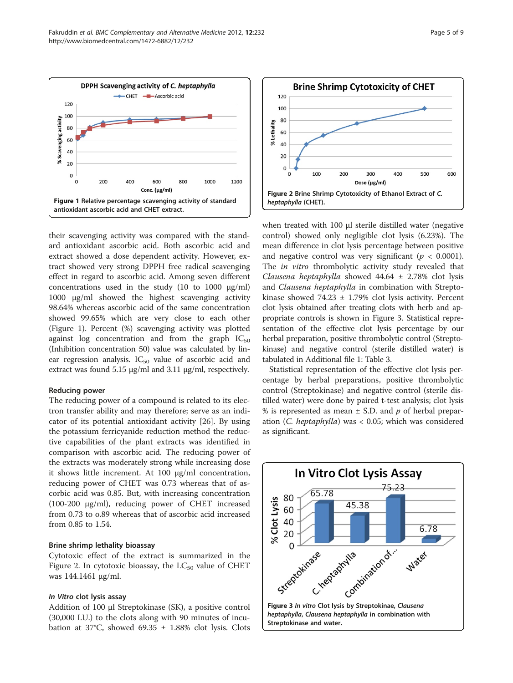<span id="page-4-0"></span>

their scavenging activity was compared with the standard antioxidant ascorbic acid. Both ascorbic acid and extract showed a dose dependent activity. However, extract showed very strong DPPH free radical scavenging effect in regard to ascorbic acid. Among seven different concentrations used in the study  $(10 \text{ to } 1000 \text{ µg/ml})$ 1000 μg/ml showed the highest scavenging activity 98.64% whereas ascorbic acid of the same concentration showed 99.65% which are very close to each other (Figure 1). Percent (%) scavenging activity was plotted against log concentration and from the graph  $IC_{50}$ (Inhibition concentration 50) value was calculated by linear regression analysis.  $IC_{50}$  value of ascorbic acid and extract was found 5.15 μg/ml and 3.11 μg/ml, respectively.

#### Reducing power

The reducing power of a compound is related to its electron transfer ability and may therefore; serve as an indicator of its potential antioxidant activity [[26\]](#page-7-0). By using the potassium ferricyanide reduction method the reductive capabilities of the plant extracts was identified in comparison with ascorbic acid. The reducing power of the extracts was moderately strong while increasing dose it shows little increment. At 100 μg/ml concentration, reducing power of CHET was 0.73 whereas that of ascorbic acid was 0.85. But, with increasing concentration (100-200 μg/ml), reducing power of CHET increased from 0.73 to o.89 whereas that of ascorbic acid increased from 0.85 to 1.54.

## Brine shrimp lethality bioassay

Cytotoxic effect of the extract is summarized in the Figure 2. In cytotoxic bioassay, the  $LC_{50}$  value of CHET was 144.1461 μg/ml.

## In Vitro clot lysis assay

Addition of 100 μl Streptokinase (SK), a positive control (30,000 I.U.) to the clots along with 90 minutes of incubation at 37°C, showed 69.35  $\pm$  1.88% clot lysis. Clots



when treated with 100 μl sterile distilled water (negative control) showed only negligible clot lysis (6.23%). The mean difference in clot lysis percentage between positive and negative control was very significant ( $p < 0.0001$ ). The in vitro thrombolytic activity study revealed that Clausena heptaphylla showed  $44.64 \pm 2.78\%$  clot lysis and Clausena heptaphylla in combination with Streptokinase showed  $74.23 \pm 1.79\%$  clot lysis activity. Percent clot lysis obtained after treating clots with herb and appropriate controls is shown in Figure 3. Statistical representation of the effective clot lysis percentage by our herbal preparation, positive thrombolytic control (Streptokinase) and negative control (sterile distilled water) is tabulated in Additional file [1](#page-7-0): Table 3.

Statistical representation of the effective clot lysis percentage by herbal preparations, positive thrombolytic control (Streptokinase) and negative control (sterile distilled water) were done by paired t-test analysis; clot lysis % is represented as mean  $\pm$  S.D. and p of herbal preparation (C. heptaphylla) was < 0.05; which was considered as significant.

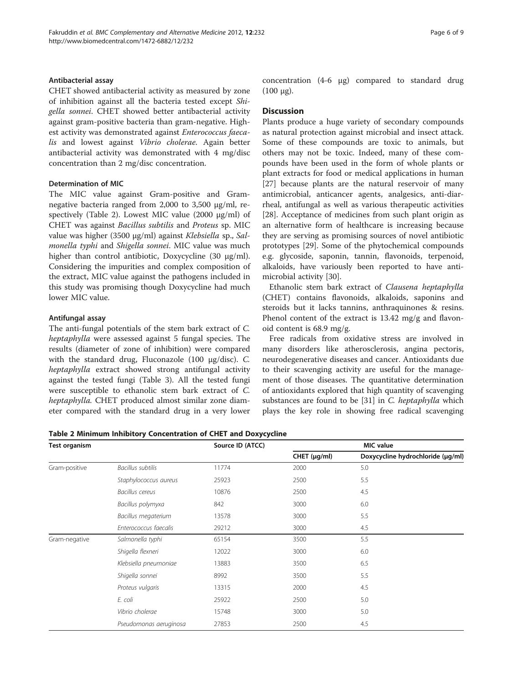## <span id="page-5-0"></span>Antibacterial assay

CHET showed antibacterial activity as measured by zone of inhibition against all the bacteria tested except Shigella sonnei. CHET showed better antibacterial activity against gram-positive bacteria than gram-negative. Highest activity was demonstrated against Enterococcus faecalis and lowest against Vibrio cholerae. Again better antibacterial activity was demonstrated with 4 mg/disc concentration than 2 mg/disc concentration.

#### Determination of MIC

The MIC value against Gram-positive and Gramnegative bacteria ranged from 2,000 to 3,500 μg/ml, respectively (Table 2). Lowest MIC value (2000 μg/ml) of CHET was against Bacillus subtilis and Proteus sp. MIC value was higher (3500 μg/ml) against Klebsiella sp., Salmonella typhi and Shigella sonnei. MIC value was much higher than control antibiotic, Doxycycline (30 μg/ml). Considering the impurities and complex composition of the extract, MIC value against the pathogens included in this study was promising though Doxycycline had much lower MIC value.

## Antifungal assay

The anti-fungal potentials of the stem bark extract of C. heptaphylla were assessed against 5 fungal species. The results (diameter of zone of inhibition) were compared with the standard drug, Fluconazole (100 μg/disc). C. heptaphylla extract showed strong antifungal activity against the tested fungi (Table [3\)](#page-6-0). All the tested fungi were susceptible to ethanolic stem bark extract of C. heptaphylla. CHET produced almost similar zone diameter compared with the standard drug in a very lower concentration (4-6 μg) compared to standard drug  $(100 \mu$ g).

## **Discussion**

Plants produce a huge variety of secondary compounds as natural protection against microbial and insect attack. Some of these compounds are toxic to animals, but others may not be toxic. Indeed, many of these compounds have been used in the form of whole plants or plant extracts for food or medical applications in human [[27\]](#page-7-0) because plants are the natural reservoir of many antimicrobial, anticancer agents, analgesics, anti-diarrheal, antifungal as well as various therapeutic activities [[28\]](#page-7-0). Acceptance of medicines from such plant origin as an alternative form of healthcare is increasing because they are serving as promising sources of novel antibiotic prototypes [[29\]](#page-8-0). Some of the phytochemical compounds e.g. glycoside, saponin, tannin, flavonoids, terpenoid, alkaloids, have variously been reported to have antimicrobial activity [\[30](#page-8-0)].

Ethanolic stem bark extract of Clausena heptaphylla (CHET) contains flavonoids, alkaloids, saponins and steroids but it lacks tannins, anthraquinones & resins. Phenol content of the extract is 13.42 mg/g and flavonoid content is 68.9 mg/g.

Free radicals from oxidative stress are involved in many disorders like atherosclerosis, angina pectoris, neurodegenerative diseases and cancer. Antioxidants due to their scavenging activity are useful for the management of those diseases. The quantitative determination of antioxidants explored that high quantity of scavenging substances are found to be [[31](#page-8-0)] in C. heptaphylla which plays the key role in showing free radical scavenging

Table 2 Minimum Inhibitory Concentration of CHET and Doxycycline

| <b>Test organism</b> |                          | Source ID (ATCC) | MIC value         |                                   |  |
|----------------------|--------------------------|------------------|-------------------|-----------------------------------|--|
|                      |                          |                  | CHET $(\mu q/ml)$ | Doxycycline hydrochloride (µg/ml) |  |
| Gram-positive        | <b>Bacillus subtilis</b> | 11774            | 2000              | 5.0                               |  |
|                      | Staphylococcus aureus    | 25923            | 2500              | 5.5                               |  |
|                      | Bacillus cereus          | 10876            | 2500              | 4.5                               |  |
|                      | Bacillus polymyxa        | 842              | 3000              | 6.0                               |  |
|                      | Bacillus megaterium      | 13578            | 3000              | 5.5                               |  |
|                      | Enterococcus faecalis    | 29212            | 3000              | 4.5                               |  |
| Gram-negative        | Salmonella typhi         | 65154            | 3500              | 5.5                               |  |
|                      | Shigella flexneri        | 12022            | 3000              | 6.0                               |  |
|                      | Klebsiella pneumoniae    | 13883            | 3500              | 6.5                               |  |
|                      | Shigella sonnei          | 8992             | 3500              | 5.5                               |  |
|                      | Proteus vulgaris         | 13315            | 2000              | 4.5                               |  |
|                      | E. coli                  | 25922            | 2500              | 5.0                               |  |
|                      | Vibrio cholerae          | 15748            | 3000              | 5.0                               |  |
|                      | Pseudomonas aeruginosa   | 27853            | 2500              | 4.5                               |  |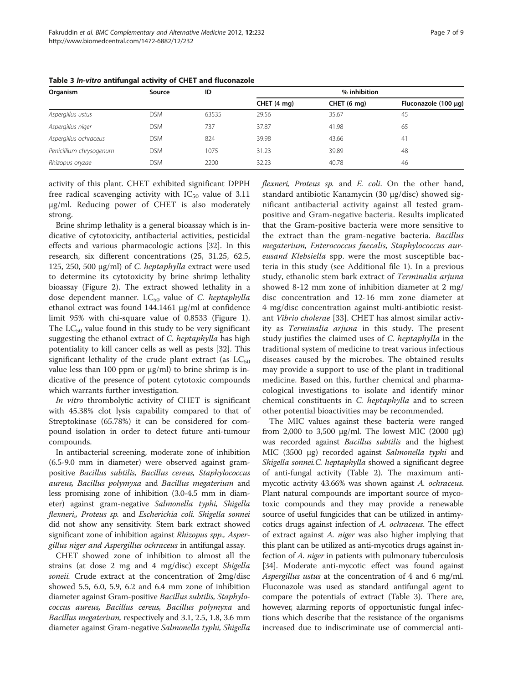| Organism                | Source     | ID    | % inhibition |             |                           |
|-------------------------|------------|-------|--------------|-------------|---------------------------|
|                         |            |       | CHET (4 mg)  | CHET (6 mg) | Fluconazole (100 $\mu$ g) |
| Aspergillus ustus       | <b>DSM</b> | 63535 | 29.56        | 35.67       | 45                        |
| Aspergillus niger       | <b>DSM</b> | 737   | 37.87        | 41.98       | 65                        |
| Aspergillus ochraceus   | <b>DSM</b> | 824   | 39.98        | 43.66       | 41                        |
| Penicillium chrysogenum | <b>DSM</b> | 1075  | 31.23        | 39.89       | 48                        |
| Rhizopus oryzae         | <b>DSM</b> | 2200  | 32.23        | 40.78       | 46                        |

<span id="page-6-0"></span>Table 3 In-vitro antifungal activity of CHET and fluconazole

activity of this plant. CHET exhibited significant DPPH free radical scavenging activity with  $IC_{50}$  value of 3.11 μg/ml. Reducing power of CHET is also moderately strong.

Brine shrimp lethality is a general bioassay which is indicative of cytotoxicity, antibacterial activities, pesticidal effects and various pharmacologic actions [[32](#page-8-0)]. In this research, six different concentrations (25, 31.25, 62.5, 125, 250, 500 μg/ml) of C. heptaphylla extract were used to determine its cytotoxicity by brine shrimp lethality bioassay (Figure [2](#page-4-0)). The extract showed lethality in a dose dependent manner.  $LC_{50}$  value of C. heptaphylla ethanol extract was found 144.1461 μg/ml at confidence limit 95% with chi-square value of 0.8533 (Figure [1](#page-4-0)). The  $LC_{50}$  value found in this study to be very significant suggesting the ethanol extract of C. heptaphylla has high potentiality to kill cancer cells as well as pests [\[32\]](#page-8-0). This significant lethality of the crude plant extract (as  $LC_{50}$ value less than 100 ppm or μg/ml) to brine shrimp is indicative of the presence of potent cytotoxic compounds which warrants further investigation.

In vitro thrombolytic activity of CHET is significant with 45.38% clot lysis capability compared to that of Streptokinase (65.78%) it can be considered for compound isolation in order to detect future anti-tumour compounds.

In antibacterial screening, moderate zone of inhibition (6.5-9.0 mm in diameter) were observed against grampositive Bacillus subtilis, Bacillus cereus, Staphylococcus aureus, Bacillus polymyxa and Bacillus megaterium and less promising zone of inhibition (3.0-4.5 mm in diameter) against gram-negative Salmonella typhi, Shigella flexneri,, Proteus sp. and Escherichia coli. Shigella sonnei did not show any sensitivity. Stem bark extract showed significant zone of inhibition against Rhizopus spp., Aspergillus niger and Aspergillus ochraceus in antifungal assay.

CHET showed zone of inhibition to almost all the strains (at dose 2 mg and 4 mg/disc) except Shigella soneii. Crude extract at the concentration of 2mg/disc showed 5.5, 6.0, 5.9, 6.2 and 6.4 mm zone of inhibition diameter against Gram-positive Bacillus subtilis, Staphylococcus aureus, Bacillus cereus, Bacillus polymyxa and Bacillus megaterium, respectively and 3.1, 2.5, 1.8, 3.6 mm diameter against Gram-negative Salmonella typhi, Shigella flexneri, Proteus sp. and E. coli. On the other hand, standard antibiotic Kanamycin (30 μg/disc) showed significant antibacterial activity against all tested grampositive and Gram-negative bacteria. Results implicated that the Gram-positive bacteria were more sensitive to the extract than the gram-negative bacteria. Bacillus megaterium, Enterococcus faecalis, Staphylococcus aureusand Klebsiella spp. were the most susceptible bacteria in this study (see Additional file [1](#page-7-0)). In a previous study, ethanolic stem bark extract of Terminalia arjuna showed 8-12 mm zone of inhibition diameter at 2 mg/ disc concentration and 12-16 mm zone diameter at 4 mg/disc concentration against multi-antibiotic resistant Vibrio cholerae [[33\]](#page-8-0). CHET has almost similar activity as Terminalia arjuna in this study. The present study justifies the claimed uses of C. heptaphylla in the traditional system of medicine to treat various infectious diseases caused by the microbes. The obtained results may provide a support to use of the plant in traditional medicine. Based on this, further chemical and pharmacological investigations to isolate and identify minor chemical constituents in C. heptaphylla and to screen other potential bioactivities may be recommended.

The MIC values against these bacteria were ranged from 2,000 to 3,500 μg/ml. The lowest MIC (2000 μg) was recorded against Bacillus subtilis and the highest MIC (3500 μg) recorded against Salmonella typhi and Shigella sonnei.C. heptaphylla showed a significant degree of anti-fungal activity (Table [2](#page-5-0)). The maximum antimycotic activity 43.66% was shown against A. ochraceus. Plant natural compounds are important source of mycotoxic compounds and they may provide a renewable source of useful fungicides that can be utilized in antimycotics drugs against infection of A. ochraceus. The effect of extract against A. niger was also higher implying that this plant can be utilized as anti-mycotics drugs against infection of A. niger in patients with pulmonary tuberculosis [[34](#page-8-0)]. Moderate anti-mycotic effect was found against Aspergillus ustus at the concentration of 4 and 6 mg/ml. Fluconazole was used as standard antifungal agent to compare the potentials of extract (Table 3). There are, however, alarming reports of opportunistic fungal infections which describe that the resistance of the organisms increased due to indiscriminate use of commercial anti-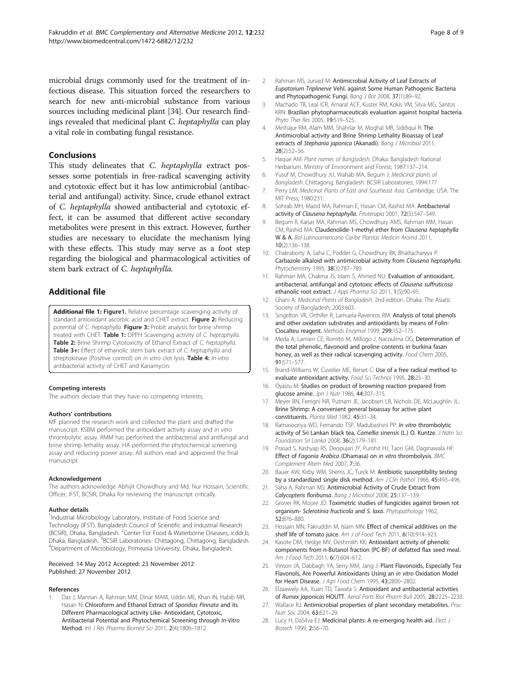<span id="page-7-0"></span>microbial drugs commonly used for the treatment of infectious disease. This situation forced the researchers to search for new anti-microbial substance from various sources including medicinal plant [\[34\]](#page-8-0). Our research findings revealed that medicinal plant C. heptaphylla can play a vital role in combating fungal resistance.

## Conclusions

This study delineates that C. heptaphylla extract possesses some potentials in free-radical scavenging activity and cytotoxic effect but it has low antimicrobial (antibacterial and antifungal) activity. Since, crude ethanol extract of C. heptaphylla showed antibacterial and cytotoxic effect, it can be assumed that different active secondary metabolites were present in this extract. However, further studies are necessary to elucidate the mechanism lying with these effects. This study may serve as a foot step regarding the biological and pharmacological activities of stem bark extract of C. heptaphylla.

## Additional file

[Additional file 1:](http://www.biomedcentral.com/content/supplementary/1472-6882-12-232-S1.doc) Figure1. Relative percentage scavenging activity of standard antioxidant ascorbic acid and CHET extract. Figure 2: Reducing potential of C. heptaphylla. Figure 3: Probit analysis for brine shrimp treated with CHET. Table 1: DPPH Scavenging activity of C. heptaphylla. Table 2: Brine Shrimp Cytotoxicity of Ethanol Extract of C. heptaphylla. Table 3+: Effect of ethanolic stem bark extract of C. heptaphylla and streptokinase (Positive control) on in vitro clot lysis. Table 4: In-vitro antibacterial activity of CHET and Kanamycin.

#### Competing interests

The authors declare that they have no competing interests.

#### Authors' contributions

MF planned the research work and collected the plant and drafted the manuscript. KSBM performed the antioxidant activity assay and in vitro thrombolytic assay. RMM has performed the antibacterial and antifungal and brine shrimp lethality assay. HA performed the phytochemical screening assay and reducing power assay. All authors read and approved the final manuscript.

#### Acknowledgement

The authors acknowledge Abhijit Chowdhury and Md. Nur Hossain, Scientific Officer, IFST, BCSIR, Dhaka for reviewing the manuscript critically.

#### Author details

<sup>1</sup>Industrial Microbiology Laboratory, Institute of Food Science and Technology (IFST). Bangladesh Council of Scientific and Industrial Research (BCSIR), Dhaka, Bangladesh. <sup>2</sup> Center For Food & Waterborne Diseases, icddr,b, Dhaka, Bangladesh. <sup>3</sup>BCSIR Laboratories- Chittagong, Chittagong, Bangladesh.<br><sup>4</sup>Dopartment of Microbiology, Primeasia University, Dhaka, Bangladesh. Department of Microbiology, Primeasia University, Dhaka, Bangladesh.

#### Received: 14 May 2012 Accepted: 23 November 2012 Published: 27 November 2012

## References

Das J, Mannan A, Rahman MM, Dinar MAM, Uddin ME, Khan IN, Habib MR, Hasan N: Chloroform and Ethanol Extract of Spondias Pinnata and its Different Pharmacological activity Like- Antioxidant, Cytotoxic, Antibacterial Potential and Phytochemical Screening through In-Vitro Method. Int J Res Pharma Biomed Sci 2011, 2(4):1806–1812.

- 2. Rahman MS, Junaid M: Antimicrobial Activity of Leaf Extracts of Eupatorium Triplinerve Vehl. against Some Human Pathogenic Bacteria and Phytopathogenic Fungi. Bang J Bot 2008, 37(1):89-92.
- 3. Machado TB, Leal ICR, Amaral ACF, Kuster RM, Kokis VM, Silva MG, Santos KRN: Brazilian phytopharmaceuticals evaluation against hospital bacteria. Phyto Ther Res 2005, 19:519–525.
- 4. Minhajur RM, Alam MM, Shahriar M, Moghal MR, Siddiqui R: The Antimicrobial activity and Brine Shrimp Lethality Bioassay of Leaf extracts of Stephania japonica (Akanadi). Bang J Microbiol 2011, 28(2):52–56.
- 5. Haque AM: Plant names of Bangladesh. Dhaka: Bangladesh National Herbarium. Ministry of Environment and Forest; 1987:137–214.
- 6. Yusuf M, Chowdhury JU, Wahab MA, Begum J: Medicinal plants of Bangladesh. Chittagong, Bangladesh: BCSIR Laboratories; 1994:177.
- 7. Perry LM: Medicinal Plants of East and Southeast Asia. Cambridge, USA: The MIT Press; 1980:231.
- 8. Sohrab MH, Mazid MA, Rahman E, Hasan CM, Rashid MA: Antibacterial activity of Clausena heptaphylla. Fitoterapia 2001, 72(5):547–549.
- 9. Begum R, Kaisar MA, Rahman MS, Chowdhury AMS, Rahman MM, Hasan CM, Rashid MA: Claudenolide-1-methyl ether from Clausena heptaphylla W & A. Bol Latinoamericano Caribe Plantas Medicin Aromá 2011, 10(2):136–138.
- 10. Chakraborty A, Saha C, Podder G, Chowdhury BK, Bhattacharyya P: Carbazole alkaloid with antimicrobial activity from Clausena heptaphylla. Phytochemistry 1995, 38(3):787–789.
- 11. Rahman MA, Chakma JS, Islam S, Ahmed NU: Evaluation of antioxidant, antibacterial, antifungal and cytotoxic effects of Clausena suffruticosa ethanolic root extract. *J Appl Pharma Sci* 2011, 1(5):90-95.
- 12. Ghani A: Medicinal Plants of Bangladesh. 2nd edition. Dhaka: The Asiatic Society of Bangladesh; 2003:603.
- 13. Singelton VR, Orthifer R, Lamuela-Raventos RM: Analysis of total phenols and other oxidation substrates and antioxidants by means of Folin-Ciocalteu reagent. Methods Enzymol 1999, 299:152–175.
- 14. Meda A, Lamien CE, Romito M, Millogo J, Nacoulma OG: Determination of the total phenolic, flavonoid and proline contents in burkina fasan honey, as well as their radical scavenging activity. Food Chem 2005, 91:571–577.
- 15. Brand-Williams W, Cuvelier ME, Berset C: Use of a free radical method to evaluate antioxidant activity. Food Sci Technol 1995, 28:25–30.
- 16. Oyaizu M: Studies on product of browning reaction prepared from glucose amine. Jpn J Nutr 1986, 44:307–315.
- 17. Meyer BN, Ferrigni NR, Putnam JE, Jacobsen LB, Nichols DE, McLaughlin JL: Brine Shrimp: A convenient general bioassay for active plant constituents. Planta Med 1982, 45:31–34.
- 18. Ratnasooriya WD, Fernando TSP, Madubashini PP: In vitro thrombolytic activity of Sri Lankan black tea, Camellia sinensis (L.) O. Kuntze. J Natn Sci Foundation Sri Lanka 2008, 36(2):179–181.
- 19. Prasad S, Kashyap RS, Deopujari JY, Purohit HJ, Taori GM, Daginawala HF: Effect of Fagonia Arabica (Dhamasa) on in vitro thrombolysis. BMC Complement Altern Med 2007, 7:36.
- 20. Bauer AW, Kirby WM, Sherris JC, Turck M: Antibiotic susceptibility testing by a standardized single disk method. Am J Clin Pathol 1966, 45:493-496.
- 21. Saha A, Rahman MS: Antimicrobial Activity of Crude Extract from Calycopteris floribunsa. Bang J Microbiol 2008, 25:137–139.
- 22. Grover RK, Moore JD: Toximetric studies of fungicides against brown rot organism- Sclerotinia fructicola and S. laxa. Phytopathology 1962, 52:876–880.
- 23. Hossain MN, Fakruddin M, Islam MN: Effect of chemical additives on the shelf life of tomato juice. Am J of Food Tech 2011, 6(10):914-923.
- 24. Kasote DM, Hedge MV, Deshmikh KK: Antioxidant activity of phenolic components from n-Butanol fraction (PC-BF) of defatted flax seed meal. Am J Food Tech 2011, 6(7):604-612.
- 25. Vinson JA, Dabbagh YA, Serry MM, Jang J: Plant Flavonoids, Especially Tea Flavonols, Are Powerful Antioxidants Using an in vitro Oxidation Model for Heart Disease. J Agri Food Chem 1995, 43:2800–2802.
- 26. Elzaawely AA, Xuan TD, Tawata S: Antioxidant and antibacterial activities of Rumex japonicas HOUTT. Aerial Parts Biol Pharm Bull 2005, 28:2225–2230.
- 27. Wallace RJ: Antimicrobial properties of plant secondary metabolites. Proc Nutr Soc 2004, 63:621–29.
- 28. Lucy H, DaSilva EJ: Medicinal plants: A re-emerging health aid. Elect J Biotech 1999, 2:56–70.